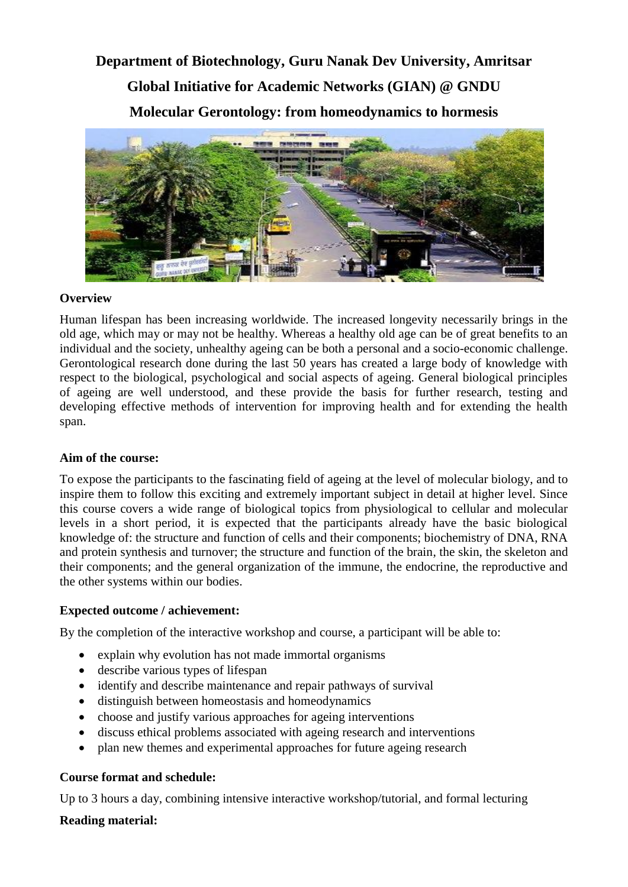# **Department of Biotechnology, Guru Nanak Dev University, Amritsar Global Initiative for Academic Networks (GIAN) @ GNDU Molecular Gerontology: from homeodynamics to hormesis**



### **Overview**

Human lifespan has been increasing worldwide. The increased longevity necessarily brings in the old age, which may or may not be healthy. Whereas a healthy old age can be of great benefits to an individual and the society, unhealthy ageing can be both a personal and a socio-economic challenge. Gerontological research done during the last 50 years has created a large body of knowledge with respect to the biological, psychological and social aspects of ageing. General biological principles of ageing are well understood, and these provide the basis for further research, testing and developing effective methods of intervention for improving health and for extending the health span.

### **Aim of the course:**

To expose the participants to the fascinating field of ageing at the level of molecular biology, and to inspire them to follow this exciting and extremely important subject in detail at higher level. Since this course covers a wide range of biological topics from physiological to cellular and molecular levels in a short period, it is expected that the participants already have the basic biological knowledge of: the structure and function of cells and their components; biochemistry of DNA, RNA and protein synthesis and turnover; the structure and function of the brain, the skin, the skeleton and their components; and the general organization of the immune, the endocrine, the reproductive and the other systems within our bodies.

### **Expected outcome / achievement:**

By the completion of the interactive workshop and course, a participant will be able to:

- explain why evolution has not made immortal organisms
- describe various types of lifespan
- identify and describe maintenance and repair pathways of survival
- distinguish between homeostasis and homeodynamics
- choose and justify various approaches for ageing interventions
- discuss ethical problems associated with ageing research and interventions
- plan new themes and experimental approaches for future ageing research

### **Course format and schedule:**

Up to 3 hours a day, combining intensive interactive workshop/tutorial, and formal lecturing

### **Reading material:**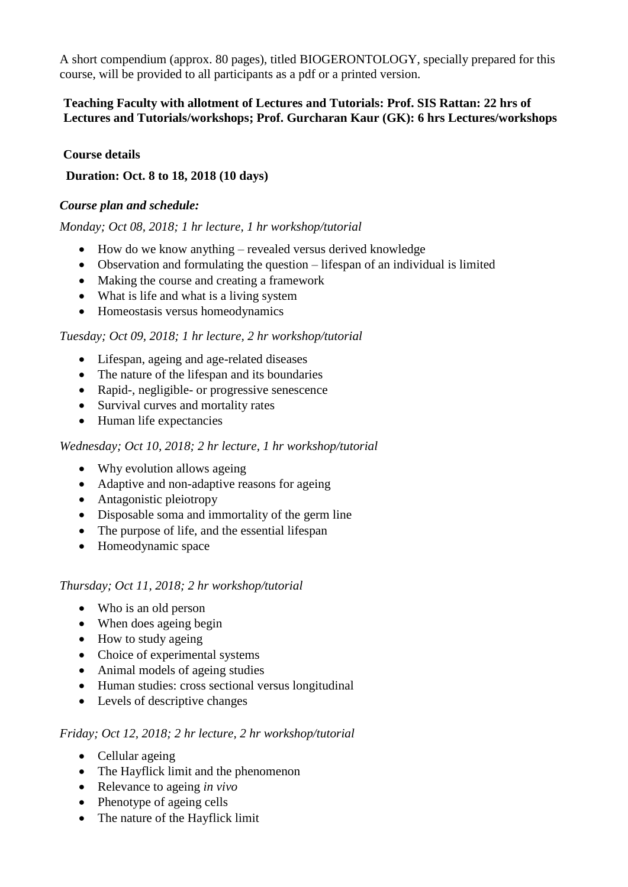A short compendium (approx. 80 pages), titled BIOGERONTOLOGY, specially prepared for this course, will be provided to all participants as a pdf or a printed version.

### **Teaching Faculty with allotment of Lectures and Tutorials: Prof. SIS Rattan: 22 hrs of Lectures and Tutorials/workshops; Prof. Gurcharan Kaur (GK): 6 hrs Lectures/workshops**

### **Course details**

### **Duration: Oct. 8 to 18, 2018 (10 days)**

### *Course plan and schedule:*

### *Monday; Oct 08, 2018; 1 hr lecture, 1 hr workshop/tutorial*

- How do we know anything revealed versus derived knowledge
- Observation and formulating the question lifespan of an individual is limited
- Making the course and creating a framework
- What is life and what is a living system
- Homeostasis versus homeodynamics

### *Tuesday; Oct 09, 2018; 1 hr lecture, 2 hr workshop/tutorial*

- Lifespan, ageing and age-related diseases
- The nature of the lifespan and its boundaries
- Rapid-, negligible- or progressive senescence
- Survival curves and mortality rates
- Human life expectancies

### *Wednesday; Oct 10, 2018; 2 hr lecture, 1 hr workshop/tutorial*

- Why evolution allows ageing
- Adaptive and non-adaptive reasons for ageing
- Antagonistic pleiotropy
- Disposable soma and immortality of the germ line
- The purpose of life, and the essential lifespan
- Homeodynamic space

### *Thursday; Oct 11, 2018; 2 hr workshop/tutorial*

- Who is an old person
- When does ageing begin
- How to study ageing
- Choice of experimental systems
- Animal models of ageing studies
- Human studies: cross sectional versus longitudinal
- Levels of descriptive changes

### *Friday; Oct 12, 2018; 2 hr lecture, 2 hr workshop/tutorial*

- Cellular ageing
- The Hayflick limit and the phenomenon
- Relevance to ageing *in vivo*
- Phenotype of ageing cells
- The nature of the Hayflick limit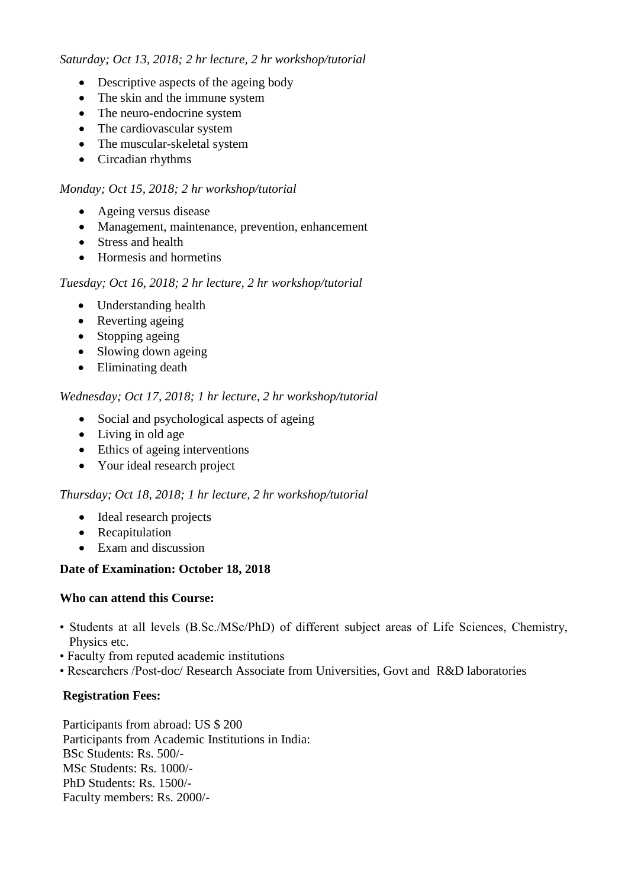### *Saturday; Oct 13, 2018; 2 hr lecture, 2 hr workshop/tutorial*

- Descriptive aspects of the ageing body
- The skin and the immune system
- The neuro-endocrine system
- The cardiovascular system
- The muscular-skeletal system
- Circadian rhythms

# *Monday; Oct 15, 2018; 2 hr workshop/tutorial*

- Ageing versus disease
- Management, maintenance, prevention, enhancement
- Stress and health
- Hormesis and hormetins

### *Tuesday; Oct 16, 2018; 2 hr lecture, 2 hr workshop/tutorial*

- Understanding health
- Reverting ageing
- Stopping ageing
- Slowing down ageing
- Eliminating death

# *Wednesday; Oct 17, 2018; 1 hr lecture, 2 hr workshop/tutorial*

- Social and psychological aspects of ageing
- Living in old age
- Ethics of ageing interventions
- Your ideal research project

### *Thursday; Oct 18, 2018; 1 hr lecture, 2 hr workshop/tutorial*

- Ideal research projects
- Recapitulation
- Exam and discussion

# **Date of Examination: October 18, 2018**

# **Who can attend this Course:**

- Students at all levels (B.Sc./MSc/PhD) of different subject areas of Life Sciences, Chemistry, Physics etc.
- Faculty from reputed academic institutions
- Researchers /Post-doc/ Research Associate from Universities, Govt and R&D laboratories

# **Registration Fees:**

Participants from abroad: US \$ 200 Participants from Academic Institutions in India: BSc Students: Rs. 500/- MSc Students: Rs. 1000/- PhD Students: Rs. 1500/- Faculty members: Rs. 2000/-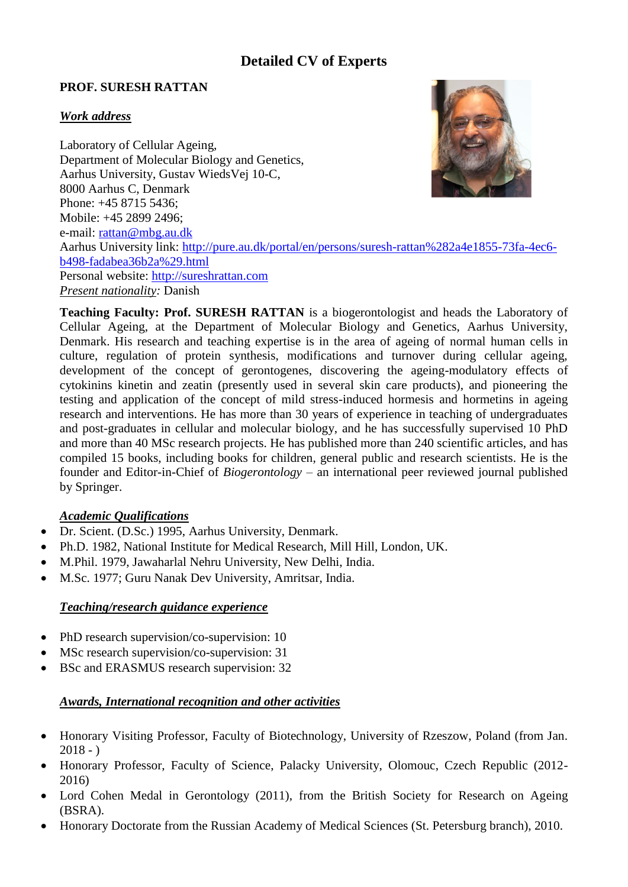# **Detailed CV of Experts**

### **PROF. SURESH RATTAN**

# *Work address*

Laboratory of Cellular Ageing, Department of Molecular Biology and Genetics, Aarhus University, Gustav WiedsVej 10-C, 8000 Aarhus C, Denmark Phone: +45 8715 5436; Mobile: +45 2899 2496; e-mail: [rattan@mbg.au.dk](mailto:rattan@mbg.au.dk) Aarhus University link: [http://pure.au.dk/portal/en/persons/suresh-rattan%282a4e1855-73fa-4ec6](http://pure.au.dk/portal/en/persons/suresh-rattan%282a4e1855-73fa-4ec6-b498-fadabea36b2a%29.html) [b498-fadabea36b2a%29.html](http://pure.au.dk/portal/en/persons/suresh-rattan%282a4e1855-73fa-4ec6-b498-fadabea36b2a%29.html) Personal website: [http://sureshrattan.com](http://sureshrattan.com/) *Present nationality:* Danish

**Teaching Faculty: Prof. SURESH RATTAN** is a biogerontologist and heads the Laboratory of Cellular Ageing, at the Department of Molecular Biology and Genetics, Aarhus University, Denmark. His research and teaching expertise is in the area of ageing of normal human cells in culture, regulation of protein synthesis, modifications and turnover during cellular ageing, development of the concept of gerontogenes, discovering the ageing-modulatory effects of cytokinins kinetin and zeatin (presently used in several skin care products), and pioneering the testing and application of the concept of mild stress-induced hormesis and hormetins in ageing research and interventions. He has more than 30 years of experience in teaching of undergraduates and post-graduates in cellular and molecular biology, and he has successfully supervised 10 PhD and more than 40 MSc research projects. He has published more than 240 scientific articles, and has compiled 15 books, including books for children, general public and research scientists. He is the founder and Editor-in-Chief of *Biogerontology –* an international peer reviewed journal published by Springer.

### *Academic Qualifications*

- Dr. Scient. (D.Sc.) 1995, Aarhus University, Denmark.
- Ph.D. 1982, National Institute for Medical Research, Mill Hill, London, UK.
- M.Phil. 1979, Jawaharlal Nehru University, New Delhi, India.
- M.Sc. 1977; Guru Nanak Dev University, Amritsar, India.

### *Teaching/research guidance experience*

- PhD research supervision/co-supervision: 10
- MSc research supervision/co-supervision: 31
- BSc and ERASMUS research supervision: 32

### *Awards, International recognition and other activities*

- Honorary Visiting Professor, Faculty of Biotechnology, University of Rzeszow, Poland (from Jan.  $2018 - )$
- Honorary Professor, Faculty of Science, Palacky University, Olomouc, Czech Republic (2012- 2016)
- Lord Cohen Medal in Gerontology (2011), from the British Society for Research on Ageing (BSRA).
- Honorary Doctorate from the Russian Academy of Medical Sciences (St. Petersburg branch), 2010.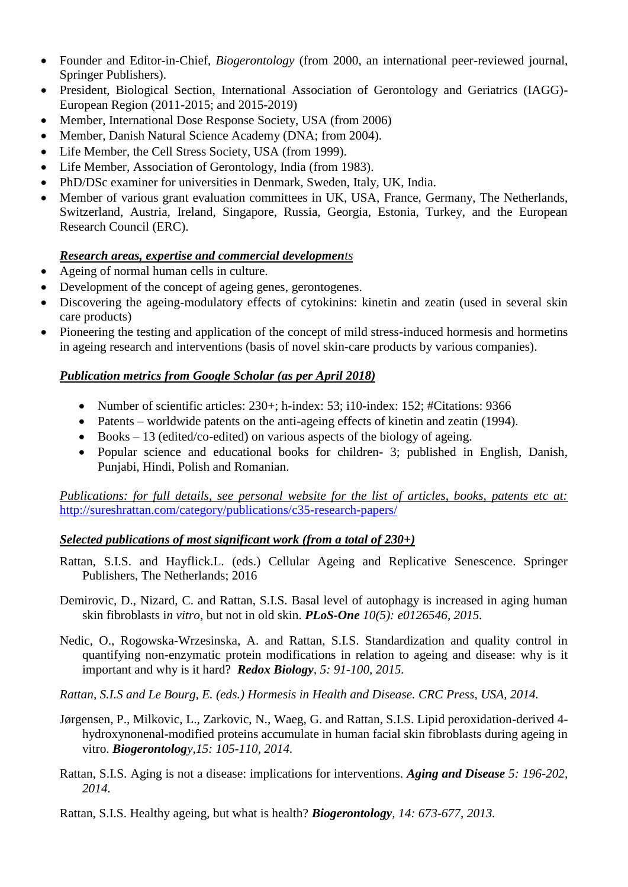- Founder and Editor-in-Chief, *Biogerontology* (from 2000, an international peer-reviewed journal, Springer Publishers).
- President, Biological Section, International Association of Gerontology and Geriatrics (IAGG)- European Region (2011-2015; and 2015-2019)
- Member, International Dose Response Society, USA (from 2006)
- Member, Danish Natural Science Academy (DNA: from 2004).
- Life Member, the Cell Stress Society, USA (from 1999).
- Life Member, Association of Gerontology, India (from 1983).
- PhD/DSc examiner for universities in Denmark, Sweden, Italy, UK, India.
- Member of various grant evaluation committees in UK, USA, France, Germany, The Netherlands, Switzerland, Austria, Ireland, Singapore, Russia, Georgia, Estonia, Turkey, and the European Research Council (ERC).

### *Research areas, expertise and commercial developments*

- Ageing of normal human cells in culture.
- Development of the concept of ageing genes, gerontogenes.
- Discovering the ageing-modulatory effects of cytokinins: kinetin and zeatin (used in several skin care products)
- Pioneering the testing and application of the concept of mild stress-induced hormesis and hormetins in ageing research and interventions (basis of novel skin-care products by various companies).

### *Publication metrics from Google Scholar (as per April 2018)*

- Number of scientific articles: 230+; h-index: 53; i10-index: 152; #Citations: 9366
- Patents worldwide patents on the anti-ageing effects of kinetin and zeatin (1994).
- Books 13 (edited/co-edited) on various aspects of the biology of ageing.
- Popular science and educational books for children- 3; published in English, Danish, Punjabi, Hindi, Polish and Romanian.

*Publications: for full details, see personal website for the list of articles, books, patents etc at:*  <http://sureshrattan.com/category/publications/c35-research-papers/>

### *Selected publications of most significant work (from a total of 230+)*

- Rattan, S.I.S. and Hayflick.L. (eds.) Cellular Ageing and Replicative Senescence. Springer Publishers, The Netherlands; 2016
- Demirovic, D., Nizard, C. and Rattan, S.I.S. Basal level of autophagy is increased in aging human skin fibroblasts i*n vitro*, but not in old skin. *PLoS-One 10(5): e0126546, 2015.*
- Nedic, O., Rogowska-Wrzesinska, A. and Rattan, S.I.S. Standardization and quality control in quantifying non-enzymatic protein modifications in relation to ageing and disease: why is it important and why is it hard? *Redox Biology, 5: 91-100, 2015.*
- *Rattan, S.I.S and Le Bourg, E. (eds.) Hormesis in Health and Disease. CRC Press, USA, 2014.*
- Jørgensen, P., Milkovic, L., Zarkovic, N., Waeg, G. and Rattan, S.I.S. Lipid peroxidation-derived 4 hydroxynonenal-modified proteins accumulate in human facial skin fibroblasts during ageing in vitro. *Biogerontology,15: 105-110, 2014.*
- Rattan, S.I.S. Aging is not a disease: implications for interventions. *Aging and Disease 5: 196-202, 2014.*
- Rattan, S.I.S. Healthy ageing, but what is health? *Biogerontology, 14: 673-677, 2013.*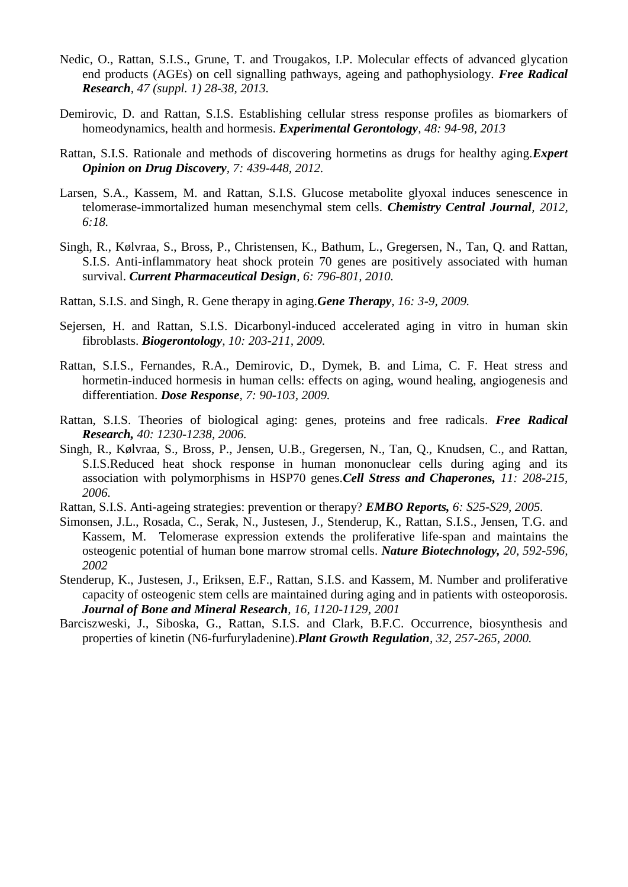- Nedic, O., Rattan, S.I.S., Grune, T. and Trougakos, I.P. Molecular effects of advanced glycation end products (AGEs) on cell signalling pathways, ageing and pathophysiology. *Free Radical Research, 47 (suppl. 1) 28-38, 2013.*
- Demirovic, D. and Rattan, S.I.S. Establishing cellular stress response profiles as biomarkers of homeodynamics, health and hormesis. *Experimental Gerontology, 48: 94-98, 2013*
- Rattan, S.I.S. Rationale and methods of discovering hormetins as drugs for healthy aging.*Expert Opinion on Drug Discovery, 7: 439-448, 2012.*
- Larsen, S.A., Kassem, M. and Rattan, S.I.S. Glucose metabolite glyoxal induces senescence in telomerase-immortalized human mesenchymal stem cells. *Chemistry Central Journal, 2012, 6:18.*
- Singh, R., Kølvraa, S., Bross, P., Christensen, K., Bathum, L., Gregersen, N., Tan, Q. and Rattan, S.I.S. Anti-inflammatory heat shock protein 70 genes are positively associated with human survival. *Current Pharmaceutical Design, 6: 796-801, 2010.*
- Rattan, S.I.S. and Singh, R. Gene therapy in aging.*Gene Therapy, 16: 3-9, 2009.*
- Sejersen, H. and Rattan, S.I.S. Dicarbonyl-induced accelerated aging in vitro in human skin fibroblasts. *Biogerontology, 10: 203-211, 2009.*
- Rattan, S.I.S., Fernandes, R.A., Demirovic, D., Dymek, B. and Lima, C. F. Heat stress and hormetin-induced hormesis in human cells: effects on aging, wound healing, angiogenesis and differentiation. *Dose Response, 7: 90-103, 2009.*
- Rattan, S.I.S. Theories of biological aging: genes, proteins and free radicals. *Free Radical Research, 40: 1230-1238, 2006.*
- Singh, R., Kølvraa, S., Bross, P., Jensen, U.B., Gregersen, N., Tan, Q., Knudsen, C., and Rattan, S.I.S.Reduced heat shock response in human mononuclear cells during aging and its association with polymorphisms in HSP70 genes.*Cell Stress and Chaperones, 11: 208-215, 2006.*
- Rattan, S.I.S. Anti-ageing strategies: prevention or therapy? *EMBO Reports, 6: S25-S29, 2005.*
- Simonsen, J.L., Rosada, C., Serak, N., Justesen, J., Stenderup, K., Rattan, S.I.S., Jensen, T.G. and Kassem, M. Telomerase expression extends the proliferative life-span and maintains the osteogenic potential of human bone marrow stromal cells. *Nature Biotechnology, 20, 592-596, 2002*
- Stenderup, K., Justesen, J., Eriksen, E.F., Rattan, S.I.S. and Kassem, M. Number and proliferative capacity of osteogenic stem cells are maintained during aging and in patients with osteoporosis. *Journal of Bone and Mineral Research, 16, 1120-1129, 2001*
- Barciszweski, J., Siboska, G., Rattan, S.I.S. and Clark, B.F.C. Occurrence, biosynthesis and properties of kinetin (N6-furfuryladenine).*Plant Growth Regulation, 32, 257-265, 2000.*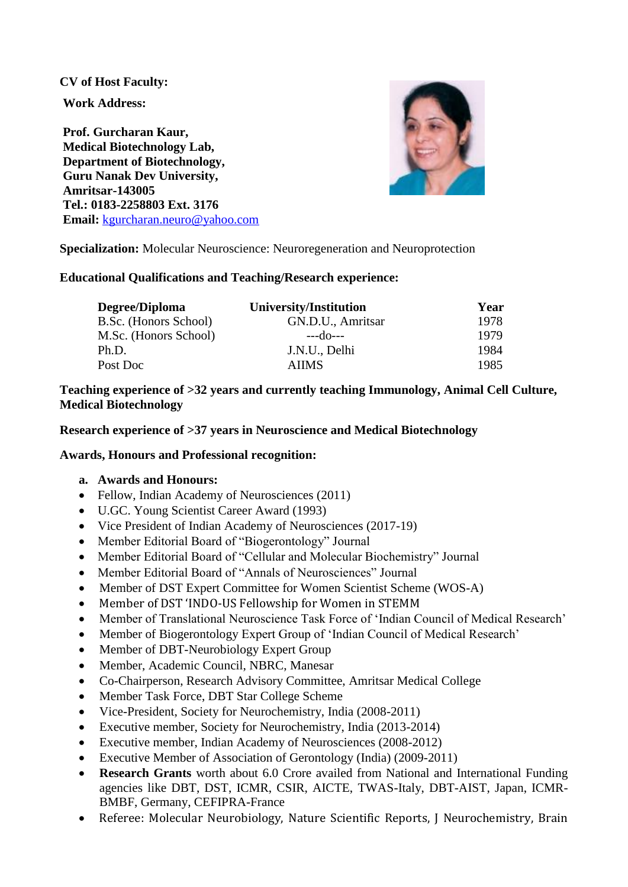### **CV of Host Faculty:**

**Work Address:** 

**Prof. Gurcharan Kaur, Medical Biotechnology Lab, Department of Biotechnology, Guru Nanak Dev University, Amritsar-143005 Tel.: 0183-2258803 Ext. 3176 Email:** [kgurcharan.neuro@yahoo.com](mailto:kgurcharan.neuro@yahoo.com)



**Specialization:** Molecular Neuroscience: Neuroregeneration and Neuroprotection

### **Educational Qualifications and Teaching/Research experience:**

| Degree/Diploma        | University/Institution | Year |
|-----------------------|------------------------|------|
| B.Sc. (Honors School) | GN.D.U., Amritsar      | 1978 |
| M.Sc. (Honors School) | $--do--$               | 1979 |
| Ph.D.                 | J.N.U., Delhi          | 1984 |
| Post Doc              | <b>AIIMS</b>           | 1985 |

### **Teaching experience of >32 years and currently teaching Immunology, Animal Cell Culture, Medical Biotechnology**

### **Research experience of >37 years in Neuroscience and Medical Biotechnology**

### **Awards, Honours and Professional recognition:**

### **a. Awards and Honours:**

- Fellow, Indian Academy of Neurosciences (2011)
- U.GC. Young Scientist Career Award (1993)
- Vice President of Indian Academy of Neurosciences (2017-19)
- Member Editorial Board of "Biogerontology" Journal
- Member Editorial Board of "Cellular and Molecular Biochemistry" Journal
- Member Editorial Board of "Annals of Neurosciences" Journal
- Member of DST Expert Committee for Women Scientist Scheme (WOS-A)
- Member of DST 'INDO-US Fellowship for Women in STEMM
- Member of Translational Neuroscience Task Force of 'Indian Council of Medical Research'
- Member of Biogerontology Expert Group of 'Indian Council of Medical Research'
- Member of DBT-Neurobiology Expert Group
- Member, Academic Council, NBRC, Manesar
- Co-Chairperson, Research Advisory Committee, Amritsar Medical College
- Member Task Force, DBT Star College Scheme
- Vice-President, Society for Neurochemistry, India (2008-2011)
- Executive member, Society for Neurochemistry, India (2013-2014)
- Executive member, Indian Academy of Neurosciences (2008-2012)
- Executive Member of Association of Gerontology (India) (2009-2011)
- **Research Grants** worth about 6.0 Crore availed from National and International Funding agencies like DBT, DST, ICMR, CSIR, AICTE, TWAS-Italy, DBT-AIST, Japan, ICMR-BMBF, Germany, CEFIPRA-France
- Referee: Molecular Neurobiology, Nature Scientific Reports, J Neurochemistry, Brain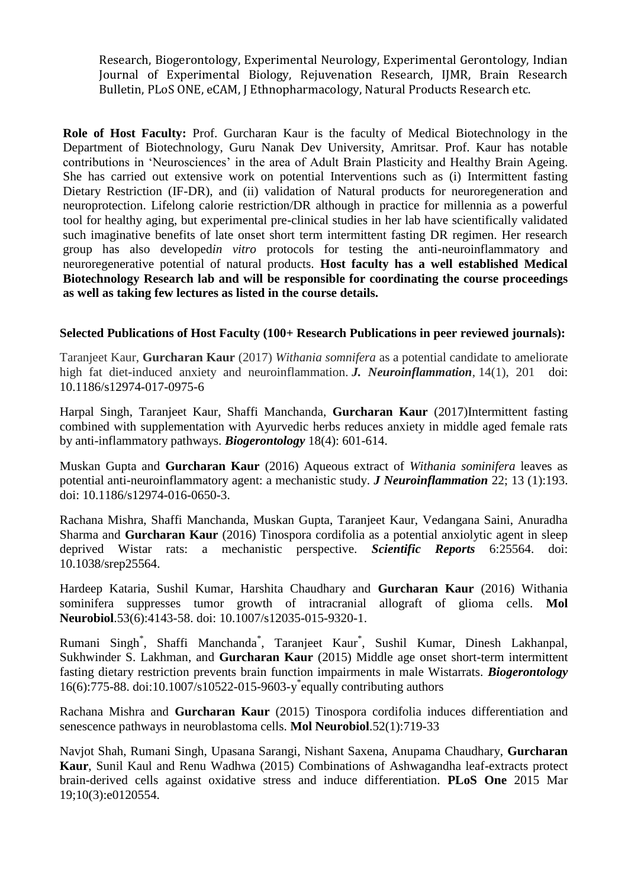Research, Biogerontology, Experimental Neurology, Experimental Gerontology, Indian Journal of Experimental Biology, Rejuvenation Research, IJMR, Brain Research Bulletin, PLoS ONE, eCAM, J Ethnopharmacology, Natural Products Research etc.

**Role of Host Faculty:** Prof. Gurcharan Kaur is the faculty of Medical Biotechnology in the Department of Biotechnology, Guru Nanak Dev University, Amritsar. Prof. Kaur has notable contributions in 'Neurosciences' in the area of Adult Brain Plasticity and Healthy Brain Ageing. She has carried out extensive work on potential Interventions such as (i) Intermittent fasting Dietary Restriction (IF-DR), and (ii) validation of Natural products for neuroregeneration and neuroprotection. Lifelong calorie restriction/DR although in practice for millennia as a powerful tool for healthy aging, but experimental pre-clinical studies in her lab have scientifically validated such imaginative benefits of late onset short term intermittent fasting DR regimen. Her research group has also developed*in vitro* protocols for testing the anti-neuroinflammatory and neuroregenerative potential of natural products. **Host faculty has a well established Medical Biotechnology Research lab and will be responsible for coordinating the course proceedings as well as taking few lectures as listed in the course details.**

### **Selected Publications of Host Faculty (100+ Research Publications in peer reviewed journals):**

Taranjeet Kaur, **Gurcharan Kaur** (2017) *Withania somnifera* as a potential candidate to ameliorate high fat diet-induced anxiety and neuroinflammation. *J. Neuroinflammation*, 14(1), 201 doi: 10.1186/s12974-017-0975-6

Harpal Singh, Taranjeet Kaur, Shaffi Manchanda, **Gurcharan Kaur** (2017)Intermittent fasting combined with supplementation with Ayurvedic herbs reduces anxiety in middle aged female rats by anti-inflammatory pathways. *Biogerontology* 18(4): 601-614.

Muskan Gupta and **Gurcharan Kaur** (2016) Aqueous extract of *Withania sominifera* leaves as potential anti-neuroinflammatory agent: a mechanistic study. *J Neuroinflammation* 22; 13 (1):193. doi: 10.1186/s12974-016-0650-3.

Rachana Mishra, Shaffi Manchanda, Muskan Gupta, Taranjeet Kaur, Vedangana Saini, Anuradha Sharma and **Gurcharan Kaur** (2016) Tinospora cordifolia as a potential anxiolytic agent in sleep deprived Wistar rats: a mechanistic perspective. *Scientific Reports* 6:25564. doi: 10.1038/srep25564.

Hardeep Kataria, Sushil Kumar, Harshita Chaudhary and **Gurcharan Kaur** (2016) Withania sominifera suppresses tumor growth of intracranial allograft of glioma cells. **Mol Neurobiol**.53(6):4143-58. doi: 10.1007/s12035-015-9320-1.

Rumani Singh\* , Shaffi Manchanda\* , Taranjeet Kaur\* , Sushil Kumar, Dinesh Lakhanpal, Sukhwinder S. Lakhman, and **Gurcharan Kaur** (2015) Middle age onset short-term intermittent fasting dietary restriction prevents brain function impairments in male Wistarrats. *Biogerontology*  16(6):775-88. doi:10.1007/s10522-015-9603-y \* equally contributing authors

Rachana Mishra and **Gurcharan Kaur** (2015) Tinospora cordifolia induces differentiation and senescence pathways in neuroblastoma cells. **[Mol Neurobiol](http://www.ncbi.nlm.nih.gov/pubmed/25280667)**.52(1):719-33

Navjot Shah, Rumani Singh, Upasana Sarangi, Nishant Saxena, Anupama Chaudhary, **Gurcharan Kaur**, Sunil Kaul and Renu Wadhwa (2015) Combinations of Ashwagandha leaf-extracts protect brain-derived cells against oxidative stress and induce differentiation. **PLoS One** 2015 Mar 19;10(3):e0120554.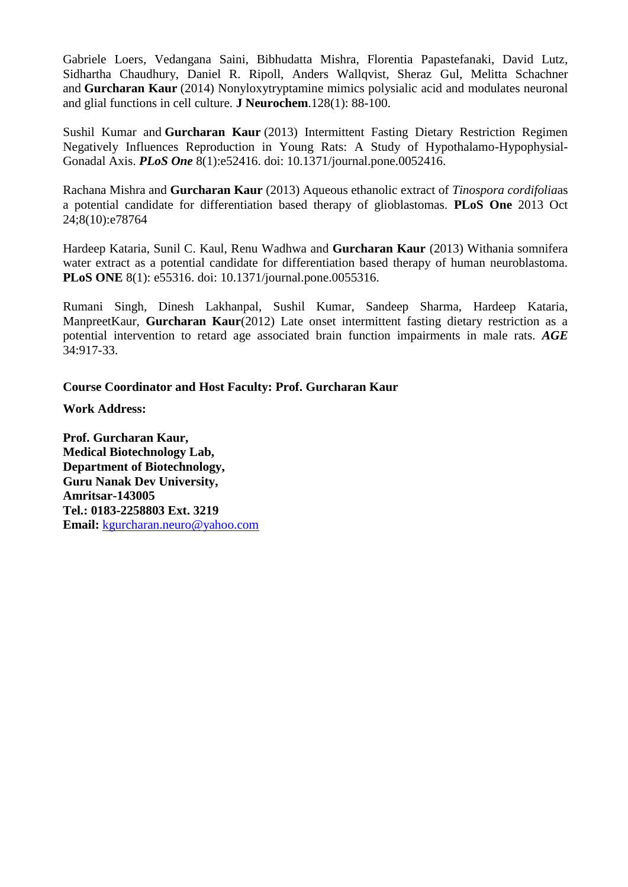Gabriele Loers, Vedangana Saini, Bibhudatta Mishra, Florentia Papastefanaki, David Lutz, Sidhartha Chaudhury, Daniel R. Ripoll, Anders Wallqvist, Sheraz Gul, Melitta Schachner and **Gurcharan Kaur** (2014) Nonyloxytryptamine mimics polysialic acid and modulates neuronal and glial functions in cell culture. **J Neurochem**.128(1): 88-100.

Sushil Kumar and **Gurcharan Kaur** (2013) Intermittent Fasting Dietary Restriction Regimen Negatively Influences Reproduction in Young Rats: A Study of Hypothalamo-Hypophysial-Gonadal Axis. *PLoS One* 8(1):e52416. doi: 10.1371/journal.pone.0052416.

Rachana Mishra and **Gurcharan Kaur** (2013) Aqueous ethanolic extract of *Tinospora cordifolia*as a potential candidate for differentiation based therapy of glioblastomas. **PLoS One** 2013 Oct 24;8(10):e78764

Hardeep Kataria, Sunil C. Kaul, Renu Wadhwa and **Gurcharan Kaur** (2013) Withania somnifera water extract as a potential candidate for differentiation based therapy of human neuroblastoma. **PLoS ONE** 8(1): e55316. doi: 10.1371/journal.pone.0055316.

Rumani Singh, Dinesh Lakhanpal, Sushil Kumar, Sandeep Sharma, Hardeep Kataria, ManpreetKaur, **Gurcharan Kaur**(2012) Late onset intermittent fasting dietary restriction as a potential intervention to retard age associated brain function impairments in male rats. *AGE* 34:917-33.

### **Course Coordinator and Host Faculty: Prof. Gurcharan Kaur**

**Work Address:**

**Prof. Gurcharan Kaur, Medical Biotechnology Lab, Department of Biotechnology, Guru Nanak Dev University, Amritsar-143005 Tel.: 0183-2258803 Ext. 3219 Email:** [kgurcharan.neuro@yahoo.com](mailto:kgurcharan.neuro@yahoo.com)